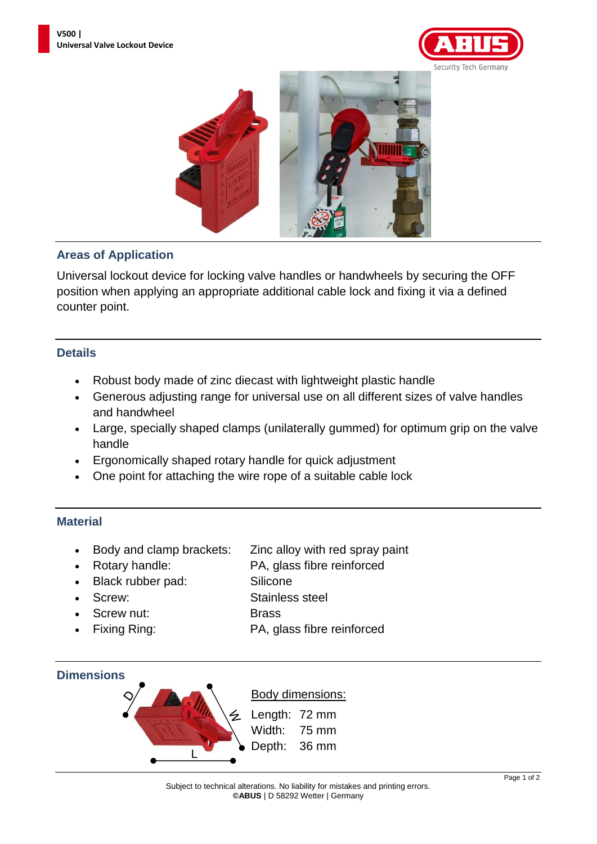



## **Areas of Application**

Universal lockout device for locking valve handles or handwheels by securing the OFF position when applying an appropriate additional cable lock and fixing it via a defined counter point.

### **Details**

- Robust body made of zinc diecast with lightweight plastic handle
- Generous adjusting range for universal use on all different sizes of valve handles and handwheel
- Large, specially shaped clamps (unilaterally gummed) for optimum grip on the valve handle
- Ergonomically shaped rotary handle for quick adjustment
- One point for attaching the wire rope of a suitable cable lock

## **Material**

- Body and clamp brackets: Zinc alloy with red spray paint
- 

• Rotary handle: PA, glass fibre reinforced

- Black rubber pad: Silicone
- 
- Screw nut: Brass
- 

• Screw: Stainless steel

- 
- Fixing Ring: PA, glass fibre reinforced

#### **Dimensions**



# Body dimensions:

Length: 72 mm Width: 75 mm Depth: 36 mm